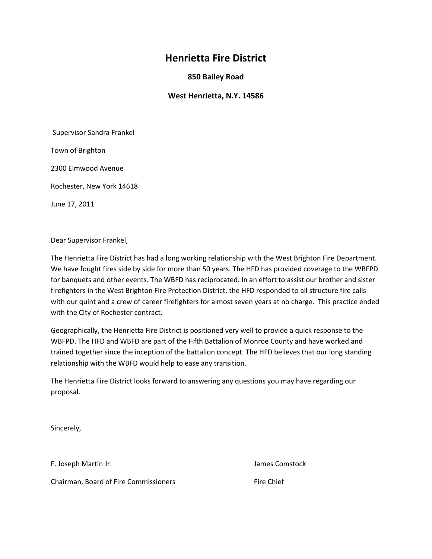### **Henrietta Fire District**

**850 Bailey Road**

**West Henrietta, N.Y. 14586**

Supervisor Sandra Frankel

Town of Brighton

2300 Elmwood Avenue

Rochester, New York 14618

June 17, 2011

Dear Supervisor Frankel,

The Henrietta Fire District has had a long working relationship with the West Brighton Fire Department. We have fought fires side by side for more than 50 years. The HFD has provided coverage to the WBFPD for banquets and other events. The WBFD has reciprocated. In an effort to assist our brother and sister firefighters in the West Brighton Fire Protection District, the HFD responded to all structure fire calls with our quint and a crew of career firefighters for almost seven years at no charge. This practice ended with the City of Rochester contract.

Geographically, the Henrietta Fire District is positioned very well to provide a quick response to the WBFPD. The HFD and WBFD are part of the Fifth Battalion of Monroe County and have worked and trained together since the inception of the battalion concept. The HFD believes that our long standing relationship with the WBFD would help to ease any transition.

The Henrietta Fire District looks forward to answering any questions you may have regarding our proposal.

Sincerely,

F. Joseph Martin Jr. James Comstock

Chairman, Board of Fire Commissioners Fire Chief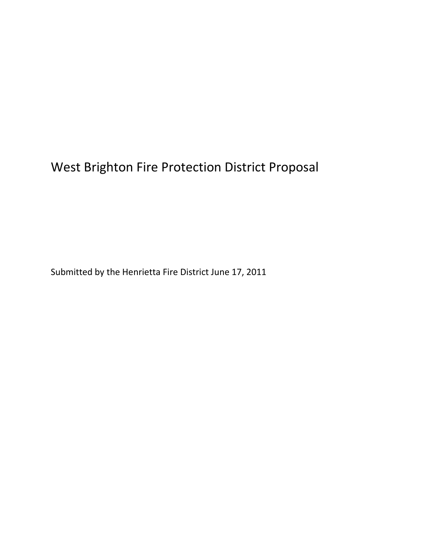## West Brighton Fire Protection District Proposal

Submitted by the Henrietta Fire District June 17, 2011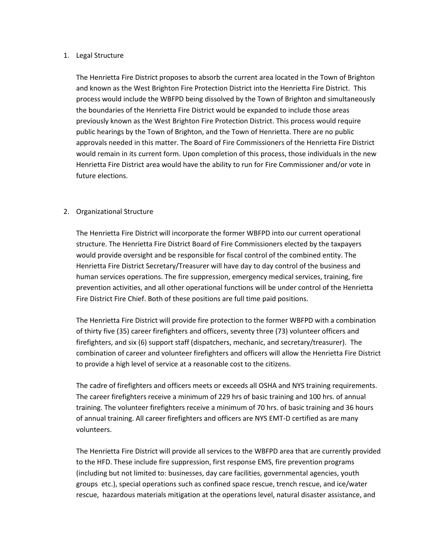#### 1. Legal Structure

The Henrietta Fire District proposes to absorb the current area located in the Town of Brighton and known as the West Brighton Fire Protection District into the Henrietta Fire District. This process would include the WBFPD being dissolved by the Town of Brighton and simultaneously the boundaries of the Henrietta Fire District would be expanded to include those areas previously known as the West Brighton Fire Protection District. This process would require public hearings by the Town of Brighton, and the Town of Henrietta. There are no public approvals needed in this matter. The Board of Fire Commissioners of the Henrietta Fire District would remain in its current form. Upon completion of this process, those individuals in the new Henrietta Fire District area would have the ability to run for Fire Commissioner and/or vote in future elections.

#### 2. Organizational Structure

The Henrietta Fire District will incorporate the former WBFPD into our current operational structure. The Henrietta Fire District Board of Fire Commissioners elected by the taxpayers would provide oversight and be responsible for fiscal control of the combined entity. The Henrietta Fire District Secretary/Treasurer will have day to day control of the business and human services operations. The fire suppression, emergency medical services, training, fire prevention activities, and all other operational functions will be under control of the Henrietta Fire District Fire Chief. Both of these positions are full time paid positions.

The Henrietta Fire District will provide fire protection to the former WBFPD with a combination of thirty five (35) career firefighters and officers, seventy three (73) volunteer officers and firefighters, and six (6) support staff (dispatchers, mechanic, and secretary/treasurer). The combination of career and volunteer firefighters and officers will allow the Henrietta Fire District to provide a high level of service at a reasonable cost to the citizens.

The cadre of firefighters and officers meets or exceeds all OSHA and NYS training requirements. The career firefighters receive a minimum of 229 hrs of basic training and 100 hrs. of annual training. The volunteer firefighters receive a minimum of 70 hrs. of basic training and 36 hours of annual training. All career firefighters and officers are NYS EMT-D certified as are many volunteers.

The Henrietta Fire District will provide all services to the WBFPD area that are currently provided to the HFD. These include fire suppression, first response EMS, fire prevention programs (including but not limited to: businesses, day care facilities, governmental agencies, youth groups etc.), special operations such as confined space rescue, trench rescue, and ice/water rescue, hazardous materials mitigation at the operations level, natural disaster assistance, and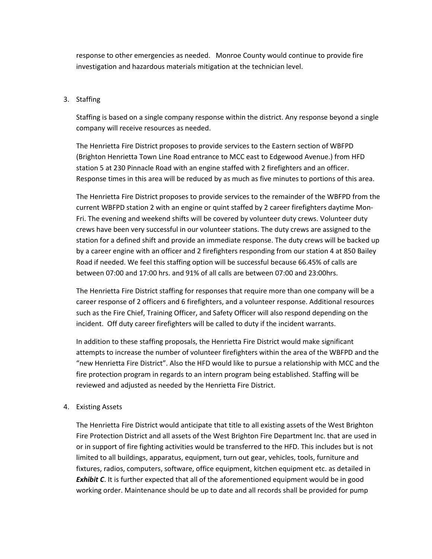response to other emergencies as needed. Monroe County would continue to provide fire investigation and hazardous materials mitigation at the technician level.

#### 3. Staffing

Staffing is based on a single company response within the district. Any response beyond a single company will receive resources as needed.

The Henrietta Fire District proposes to provide services to the Eastern section of WBFPD (Brighton Henrietta Town Line Road entrance to MCC east to Edgewood Avenue.) from HFD station 5 at 230 Pinnacle Road with an engine staffed with 2 firefighters and an officer. Response times in this area will be reduced by as much as five minutes to portions of this area.

The Henrietta Fire District proposes to provide services to the remainder of the WBFPD from the current WBFPD station 2 with an engine or quint staffed by 2 career firefighters daytime Mon-Fri. The evening and weekend shifts will be covered by volunteer duty crews. Volunteer duty crews have been very successful in our volunteer stations. The duty crews are assigned to the station for a defined shift and provide an immediate response. The duty crews will be backed up by a career engine with an officer and 2 firefighters responding from our station 4 at 850 Bailey Road if needed. We feel this staffing option will be successful because 66.45% of calls are between 07:00 and 17:00 hrs. and 91% of all calls are between 07:00 and 23:00hrs.

The Henrietta Fire District staffing for responses that require more than one company will be a career response of 2 officers and 6 firefighters, and a volunteer response. Additional resources such as the Fire Chief, Training Officer, and Safety Officer will also respond depending on the incident. Off duty career firefighters will be called to duty if the incident warrants.

In addition to these staffing proposals, the Henrietta Fire District would make significant attempts to increase the number of volunteer firefighters within the area of the WBFPD and the "new Henrietta Fire District". Also the HFD would like to pursue a relationship with MCC and the fire protection program in regards to an intern program being established. Staffing will be reviewed and adjusted as needed by the Henrietta Fire District.

#### 4. Existing Assets

The Henrietta Fire District would anticipate that title to all existing assets of the West Brighton Fire Protection District and all assets of the West Brighton Fire Department Inc. that are used in or in support of fire fighting activities would be transferred to the HFD. This includes but is not limited to all buildings, apparatus, equipment, turn out gear, vehicles, tools, furniture and fixtures, radios, computers, software, office equipment, kitchen equipment etc. as detailed in *Exhibit C*. It is further expected that all of the aforementioned equipment would be in good working order. Maintenance should be up to date and all records shall be provided for pump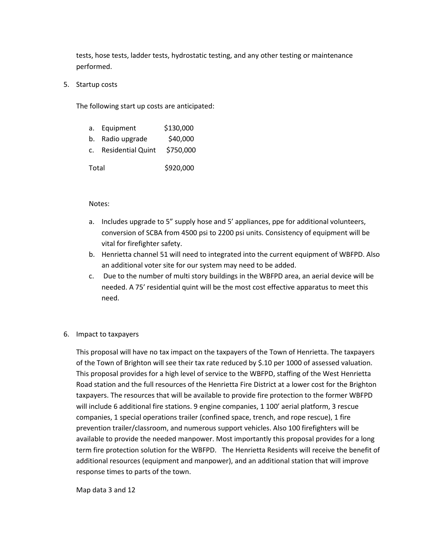tests, hose tests, ladder tests, hydrostatic testing, and any other testing or maintenance performed.

5. Startup costs

The following start up costs are anticipated:

|       | a. Equipment             | \$130,000 |  |  |
|-------|--------------------------|-----------|--|--|
|       | b. Radio upgrade         | \$40,000  |  |  |
| C.    | <b>Residential Quint</b> | \$750,000 |  |  |
| Total |                          | \$920,000 |  |  |

#### Notes:

- a. Includes upgrade to 5" supply hose and 5' appliances, ppe for additional volunteers, conversion of SCBA from 4500 psi to 2200 psi units. Consistency of equipment will be vital for firefighter safety.
- b. Henrietta channel 51 will need to integrated into the current equipment of WBFPD. Also an additional voter site for our system may need to be added.
- c. Due to the number of multi story buildings in the WBFPD area, an aerial device will be needed. A 75' residential quint will be the most cost effective apparatus to meet this need.
- 6. Impact to taxpayers

This proposal will have no tax impact on the taxpayers of the Town of Henrietta. The taxpayers of the Town of Brighton will see their tax rate reduced by \$.10 per 1000 of assessed valuation. This proposal provides for a high level of service to the WBFPD, staffing of the West Henrietta Road station and the full resources of the Henrietta Fire District at a lower cost for the Brighton taxpayers. The resources that will be available to provide fire protection to the former WBFPD will include 6 additional fire stations. 9 engine companies, 1 100' aerial platform, 3 rescue companies, 1 special operations trailer (confined space, trench, and rope rescue), 1 fire prevention trailer/classroom, and numerous support vehicles. Also 100 firefighters will be available to provide the needed manpower. Most importantly this proposal provides for a long term fire protection solution for the WBFPD. The Henrietta Residents will receive the benefit of additional resources (equipment and manpower), and an additional station that will improve response times to parts of the town.

Map data 3 and 12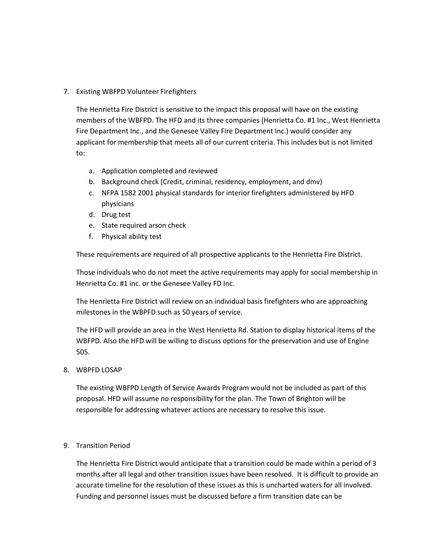#### 7. Existing WBFPD Volunteer Firefighters

The Henrietta Fire District is sensitive to the impact this proposal will have on the existing members of the WBFPD. The HFD and its three companies (Henrietta Co. #1 Inc., West Henrietta Fire Department Inc., and the Genesee Valley Fire Department Inc.) would consider any applicant for membership that meets all of our current criteria. This includes but is not limited to:

- a. Application completed and reviewed
- b. Background check (Credit, criminal, residency, employment, and dmv)
- c. NFPA 1582 2001 physical standards for interior firefighters administered by HFD physicians
- d. Drug test
- e. State required arson check
- f. Physical ability test

These requirements are required of all prospective applicants to the Henrietta Fire District.

Those individuals who do not meet the active requirements may apply for social membership in Henrietta Co. #1 inc. or the Genesee Valley FD Inc.

The Henrietta Fire District will review on an individual basis firefighters who are approaching milestones in the WBPFD such as 50 years of service.

The HFD will provide an area in the West Henrietta Rd. Station to display historical items of the WBFPD. Also the HFD will be willing to discuss options for the preservation and use of Engine 505.

#### 8. WBPFD LOSAP

The existing WBFPD Length of Service Awards Program would not be included as part of this proposal. HFD will assume no responsibility for the plan. The Town of Brighton will be responsible for addressing whatever actions are necessary to resolve this issue.

#### 9. Transition Period

The Henrietta Fire District would anticipate that a transition could be made within a period of 3 months after all legal and other transition issues have been resolved. It is difficult to provide an accurate timeline for the resolution of these issues as this is uncharted waters for all involved. Funding and personnel issues must be discussed before a firm transition date can be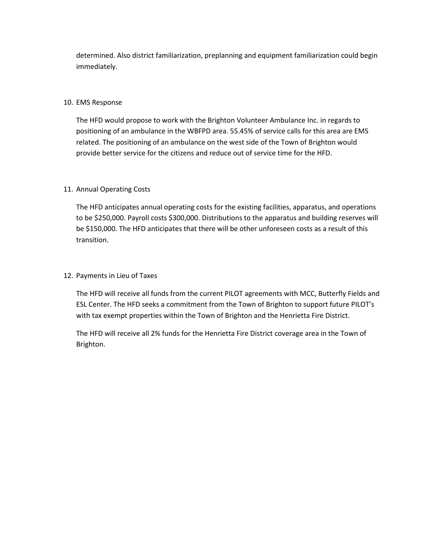determined. Also district familiarization, preplanning and equipment familiarization could begin immediately.

#### 10. EMS Response

The HFD would propose to work with the Brighton Volunteer Ambulance Inc. in regards to positioning of an ambulance in the WBFPD area. 55.45% of service calls for this area are EMS related. The positioning of an ambulance on the west side of the Town of Brighton would provide better service for the citizens and reduce out of service time for the HFD.

#### 11. Annual Operating Costs

The HFD anticipates annual operating costs for the existing facilities, apparatus, and operations to be \$250,000. Payroll costs \$300,000. Distributions to the apparatus and building reserves will be \$150,000. The HFD anticipates that there will be other unforeseen costs as a result of this transition.

#### 12. Payments in Lieu of Taxes

The HFD will receive all funds from the current PILOT agreements with MCC, Butterfly Fields and ESL Center. The HFD seeks a commitment from the Town of Brighton to support future PILOT's with tax exempt properties within the Town of Brighton and the Henrietta Fire District.

The HFD will receive all 2% funds for the Henrietta Fire District coverage area in the Town of Brighton.